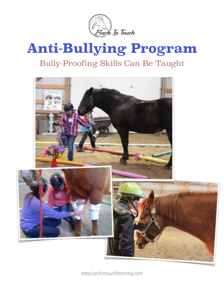

## **Anti-Bullying Program** Bully-Proofing Skills Can Be Taught



[www.backintouchlearning.com](http://www.backintouchlearning.com)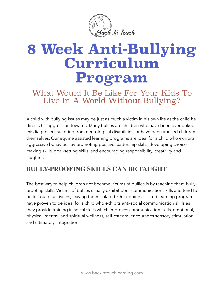

# **8 Week Anti-Bullying Curriculum Program**

## What Would It Be Like For Your Kids To Live In A World Without Bullying?

A child with bullying issues may be just as much a victim in his own life as the child he directs his aggression towards. Many bullies are children who have been overlooked, misdiagnosed, suffering from neurological disabilities, or have been abused children themselves. Our equine assisted learning programs are ideal for a child who exhibits aggressive behaviour by promoting positive leadership skills, developing choicemaking skills, goal-setting skills, and encouraging responsibility, creativity and laughter.

### **BULLY-PROOFING SKILLS CAN BE TAUGHT**

The best way to help children not become victims of bullies is by teaching them bullyproofing skills. Victims of bullies usually exhibit poor communication skills and tend to be left out of activities, leaving them isolated. Our equine assisted learning programs have proven to be ideal for a child who exhibits anti-social communication skills as they provide training in social skills which improves communication skills, emotional, physical, mental, and spiritual wellness, self-esteem, encourages sensory stimulation, and ultimately, integration.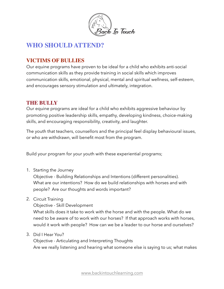

#### **WHO SHOULD ATTEND?**

#### **VICTIMS OF BULLIES**

Our equine programs have proven to be ideal for a child who exhibits anti-social communication skills as they provide training in social skills which improves communication skills, emotional, physical, mental and spiritual wellness, self-esteem, and encourages sensory stimulation and ultimately, integration.

#### **THE BULLY**

Our equine programs are ideal for a child who exhibits aggressive behaviour by promoting positive leadership skills, empathy, developing kindness, choice-making skills, and encouraging responsibility, creativity, and laughter.

The youth that teachers, counsellors and the principal feel display behavioural issues, or who are withdrawn, will benefit most from the program.

Build your program for your youth with these experiential programs;

1. Starting the Journey

Objective - Building Relationships and Intentions (different personalities). What are our intentions? How do we build relationships with horses and with people? Are our thoughts and words important?

2. Circuit Training

Objective - Skill Development

What skills does it take to work with the horse and with the people. What do we need to be aware of to work with our horses? If that approach works with horses, would it work with people? How can we be a leader to our horse and ourselves?

3. Did I Hear You?

Objective - Articulating and Interpreting Thoughts Are we really listening and hearing what someone else is saying to us; what makes